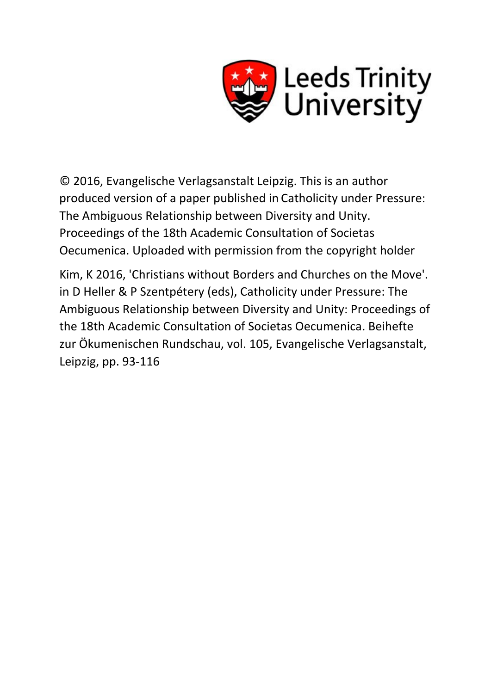

© 2016, Evangelische Verlagsanstalt Leipzig. This is an author produced version of a paper published in Catholicity under Pressure: The Ambiguous Relationship between Diversity and Unity. Proceedings of the 18th Academic Consultation of Societas Oecumenica. Uploaded with permission from the copyright holder

Kim, K 2016, 'Christians without Borders and Churches on the Move'. in D Heller & P Szentpétery (eds), Catholicity under Pressure: The Ambiguous Relationship between Diversity and Unity: Proceedings of the 18th Academic Consultation of Societas Oecumenica. Beihefte zur Ökumenischen Rundschau, vol. 105, Evangelische Verlagsanstalt, Leipzig, pp. 93-116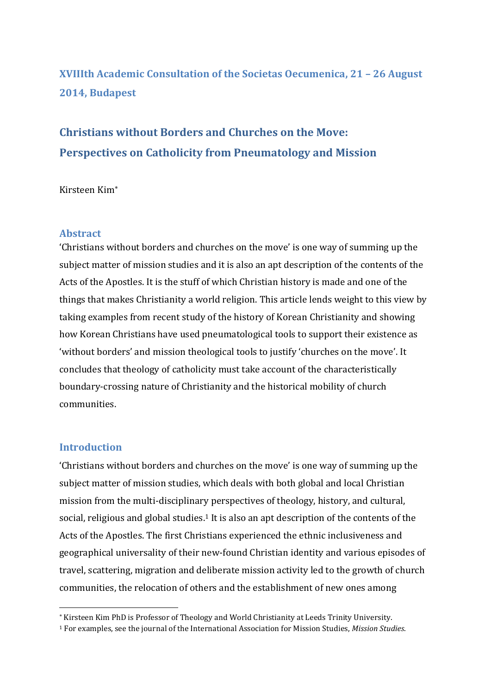## **XVIIIth Academic Consultation of the Societas Oecumenica, 21 – 26 August 2014, Budapest**

# **Christians without Borders and Churches on the Move: Perspectives on Catholicity from Pneumatology and Mission**

### Kirsteen Kim

## **Abstract**

'Christians without borders and churches on the move' is one way of summing up the subject matter of mission studies and it is also an apt description of the contents of the Acts of the Apostles. It is the stuff of which Christian history is made and one of the things that makes Christianity a world religion. This article lends weight to this view by taking examples from recent study of the history of Korean Christianity and showing how Korean Christians have used pneumatological tools to support their existence as 'without borders' and mission theological tools to justify 'churches on the move'. It concludes that theology of catholicity must take account of the characteristically boundary-crossing nature of Christianity and the historical mobility of church communities.

### **Introduction**

<u>.</u>

'Christians without borders and churches on the move' is one way of summing up the subject matter of mission studies, which deals with both global and local Christian mission from the multi-disciplinary perspectives of theology, history, and cultural, social, religious and global studies.<sup>1</sup> It is also an apt description of the contents of the Acts of the Apostles. The first Christians experienced the ethnic inclusiveness and geographical universality of their new-found Christian identity and various episodes of travel, scattering, migration and deliberate mission activity led to the growth of church communities, the relocation of others and the establishment of new ones among

<sup>\*</sup> Kirsteen Kim PhD is Professor of Theology and World Christianity at Leeds Trinity University.

<sup>1</sup> For examples, see the journal of the International Association for Mission Studies, *Mission Studies*.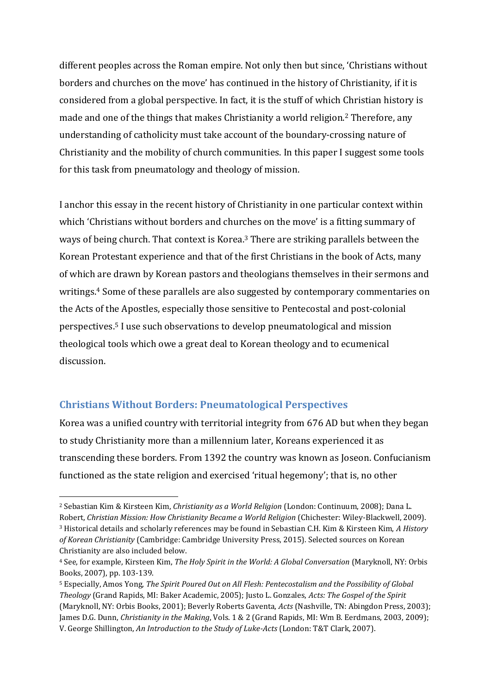different peoples across the Roman empire. Not only then but since, 'Christians without borders and churches on the move' has continued in the history of Christianity, if it is considered from a global perspective. In fact, it is the stuff of which Christian history is made and one of the things that makes Christianity a world religion.<sup>2</sup> Therefore, any understanding of catholicity must take account of the boundary-crossing nature of Christianity and the mobility of church communities. In this paper I suggest some tools for this task from pneumatology and theology of mission.

I anchor this essay in the recent history of Christianity in one particular context within which 'Christians without borders and churches on the move' is a fitting summary of ways of being church. That context is Korea. <sup>3</sup> There are striking parallels between the Korean Protestant experience and that of the first Christians in the book of Acts, many of which are drawn by Korean pastors and theologians themselves in their sermons and writings.<sup>4</sup> Some of these parallels are also suggested by contemporary commentaries on the Acts of the Apostles, especially those sensitive to Pentecostal and post-colonial perspectives.<sup>5</sup> I use such observations to develop pneumatological and mission theological tools which owe a great deal to Korean theology and to ecumenical discussion.

## **Christians Without Borders: Pneumatological Perspectives**

Korea was a unified country with territorial integrity from 676 AD but when they began to study Christianity more than a millennium later, Koreans experienced it as transcending these borders. From 1392 the country was known as Joseon. Confucianism functioned as the state religion and exercised 'ritual hegemony'; that is, no other

<sup>&</sup>lt;u>.</u> <sup>2</sup> Sebastian Kim & Kirsteen Kim, *Christianity as a World Religion* (London: Continuum, 2008); Dana L. Robert, *Christian Mission: How Christianity Became a World Religion* (Chichester: Wiley-Blackwell, 2009). <sup>3</sup> Historical details and scholarly references may be found in Sebastian C.H. Kim & Kirsteen Kim, *A History of Korean Christianity* (Cambridge: Cambridge University Press, 2015). Selected sources on Korean Christianity are also included below.

<sup>4</sup> See, for example, Kirsteen Kim, *The Holy Spirit in the World: A Global Conversation* (Maryknoll, NY: Orbis Books, 2007), pp. 103-139.

<sup>5</sup> Especially, Amos Yong, *The Spirit Poured Out on All Flesh: Pentecostalism and the Possibility of Global Theology* (Grand Rapids, MI: Baker Academic, 2005); Justo L. Gonzales, *Acts: The Gospel of the Spirit* (Maryknoll, NY: Orbis Books, 2001); Beverly Roberts Gaventa, *Acts* (Nashville, TN: Abingdon Press, 2003); James D.G. Dunn, *Christianity in the Making*, Vols. 1 & 2 (Grand Rapids, MI: Wm B. Eerdmans, 2003, 2009); V. George Shillington, *An Introduction to the Study of Luke-Acts* (London: T&T Clark, 2007).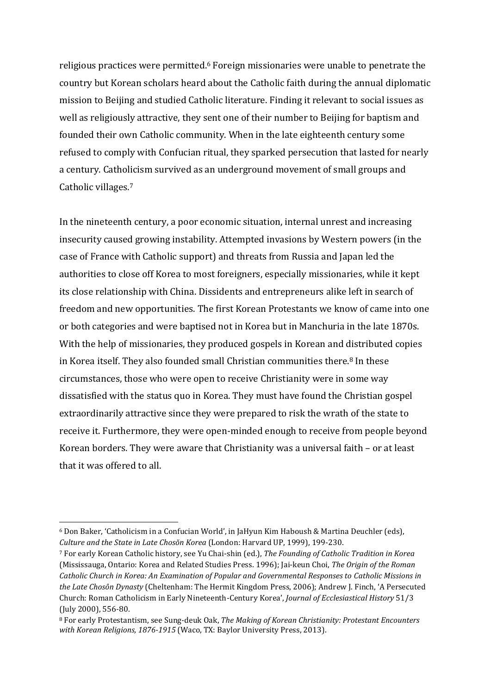religious practices were permitted.<sup>6</sup> Foreign missionaries were unable to penetrate the country but Korean scholars heard about the Catholic faith during the annual diplomatic mission to Beijing and studied Catholic literature. Finding it relevant to social issues as well as religiously attractive, they sent one of their number to Beijing for baptism and founded their own Catholic community. When in the late eighteenth century some refused to comply with Confucian ritual, they sparked persecution that lasted for nearly a century. Catholicism survived as an underground movement of small groups and Catholic villages.<sup>7</sup>

In the nineteenth century, a poor economic situation, internal unrest and increasing insecurity caused growing instability. Attempted invasions by Western powers (in the case of France with Catholic support) and threats from Russia and Japan led the authorities to close off Korea to most foreigners, especially missionaries, while it kept its close relationship with China. Dissidents and entrepreneurs alike left in search of freedom and new opportunities. The first Korean Protestants we know of came into one or both categories and were baptised not in Korea but in Manchuria in the late 1870s. With the help of missionaries, they produced gospels in Korean and distributed copies in Korea itself. They also founded small Christian communities there.<sup>8</sup> In these circumstances, those who were open to receive Christianity were in some way dissatisfied with the status quo in Korea. They must have found the Christian gospel extraordinarily attractive since they were prepared to risk the wrath of the state to receive it. Furthermore, they were open-minded enough to receive from people beyond Korean borders. They were aware that Christianity was a universal faith – or at least that it was offered to all.

<sup>6</sup> Don Baker, 'Catholicism in a Confucian World', in JaHyun Kim Haboush & Martina Deuchler (eds), *Culture and the State in Late Chosŏn Korea* (London: Harvard UP, 1999), 199-230.

<sup>7</sup> For early Korean Catholic history, see Yu Chai-shin (ed.), *The Founding of Catholic Tradition in Korea* (Mississauga, Ontario: Korea and Related Studies Press. 1996); Jai-keun Choi, *The Origin of the Roman Catholic Church in Korea: An Examination of Popular and Governmental Responses to Catholic Missions in the Late Chosôn Dynasty* (Cheltenham: The Hermit Kingdom Press, 2006); Andrew J. Finch, 'A Persecuted Church: Roman Catholicism in Early Nineteenth-Century Korea', *Journal of Ecclesiastical History* 51/3 (July 2000), 556-80.

<sup>8</sup> For early Protestantism, see Sung-deuk Oak, *The Making of Korean Christianity: Protestant Encounters with Korean Religions, 1876-1915* (Waco, TX: Baylor University Press, 2013).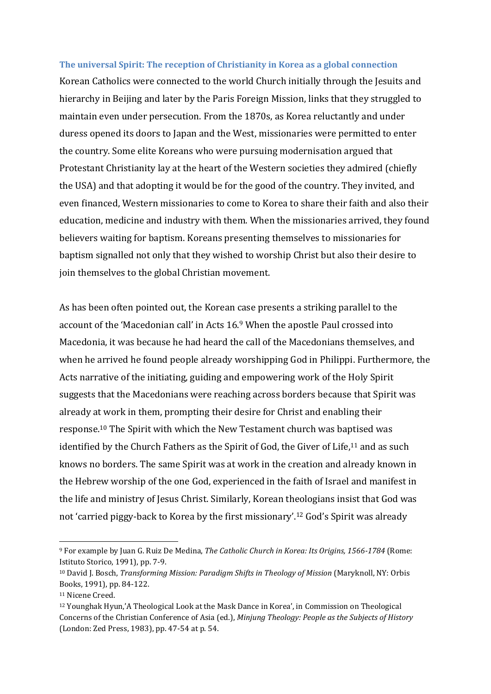#### **The universal Spirit: The reception of Christianity in Korea as a global connection**

Korean Catholics were connected to the world Church initially through the Jesuits and hierarchy in Beijing and later by the Paris Foreign Mission, links that they struggled to maintain even under persecution. From the 1870s, as Korea reluctantly and under duress opened its doors to Japan and the West, missionaries were permitted to enter the country. Some elite Koreans who were pursuing modernisation argued that Protestant Christianity lay at the heart of the Western societies they admired (chiefly the USA) and that adopting it would be for the good of the country. They invited, and even financed, Western missionaries to come to Korea to share their faith and also their education, medicine and industry with them. When the missionaries arrived, they found believers waiting for baptism. Koreans presenting themselves to missionaries for baptism signalled not only that they wished to worship Christ but also their desire to join themselves to the global Christian movement.

As has been often pointed out, the Korean case presents a striking parallel to the account of the 'Macedonian call' in Acts 16.<sup>9</sup> When the apostle Paul crossed into Macedonia, it was because he had heard the call of the Macedonians themselves, and when he arrived he found people already worshipping God in Philippi. Furthermore, the Acts narrative of the initiating, guiding and empowering work of the Holy Spirit suggests that the Macedonians were reaching across borders because that Spirit was already at work in them, prompting their desire for Christ and enabling their response.<sup>10</sup> The Spirit with which the New Testament church was baptised was identified by the Church Fathers as the Spirit of God, the Giver of Life,  $11$  and as such knows no borders. The same Spirit was at work in the creation and already known in the Hebrew worship of the one God, experienced in the faith of Israel and manifest in the life and ministry of Jesus Christ. Similarly, Korean theologians insist that God was not 'carried piggy-back to Korea by the first missionary'.<sup>12</sup> God's Spirit was already

<sup>9</sup> For example by Juan G. Ruiz De Medina, *The Catholic Church in Korea: Its Origins, 1566-1784* (Rome: Istituto Storico, 1991), pp. 7-9.

<sup>10</sup> David J. Bosch, *Transforming Mission: Paradigm Shifts in Theology of Mission* (Maryknoll, NY: Orbis Books, 1991), pp. 84-122.

<sup>11</sup> Nicene Creed.

<sup>12</sup> Younghak Hyun,'A Theological Look at the Mask Dance in Korea', in Commission on Theological Concerns of the Christian Conference of Asia (ed.), *Minjung Theology: People as the Subjects of History* (London: Zed Press, 1983), pp. 47-54 at p. 54.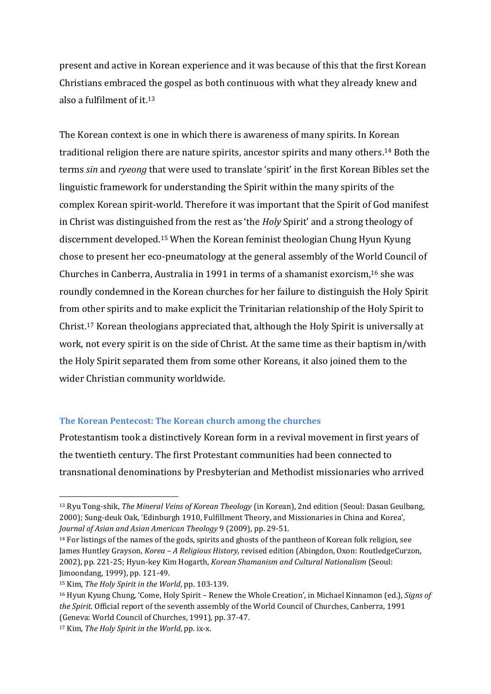present and active in Korean experience and it was because of this that the first Korean Christians embraced the gospel as both continuous with what they already knew and also a fulfilment of it. 13

The Korean context is one in which there is awareness of many spirits. In Korean traditional religion there are nature spirits, ancestor spirits and many others.<sup>14</sup> Both the terms *sin* and *ryeong* that were used to translate 'spirit' in the first Korean Bibles set the linguistic framework for understanding the Spirit within the many spirits of the complex Korean spirit-world. Therefore it was important that the Spirit of God manifest in Christ was distinguished from the rest as 'the *Holy* Spirit' and a strong theology of discernment developed. <sup>15</sup> When the Korean feminist theologian Chung Hyun Kyung chose to present her eco-pneumatology at the general assembly of the World Council of Churches in Canberra, Australia in 1991 in terms of a shamanist exorcism,<sup>16</sup> she was roundly condemned in the Korean churches for her failure to distinguish the Holy Spirit from other spirits and to make explicit the Trinitarian relationship of the Holy Spirit to Christ.<sup>17</sup> Korean theologians appreciated that, although the Holy Spirit is universally at work, not every spirit is on the side of Christ. At the same time as their baptism in/with the Holy Spirit separated them from some other Koreans, it also joined them to the wider Christian community worldwide.

#### **The Korean Pentecost: The Korean church among the churches**

Protestantism took a distinctively Korean form in a revival movement in first years of the twentieth century. The first Protestant communities had been connected to transnational denominations by Presbyterian and Methodist missionaries who arrived

<sup>13</sup> Ryu Tong-shik, *The Mineral Veins of Korean Theology* (in Korean), 2nd edition (Seoul: Dasan Geulbang, 2000); Sung-deuk Oak, 'Edinburgh 1910, Fulfillment Theory, and Missionaries in China and Korea', *Journal of Asian and Asian American Theology* 9 (2009), pp. 29-51.

<sup>&</sup>lt;sup>14</sup> For listings of the names of the gods, spirits and ghosts of the pantheon of Korean folk religion, see James Huntley Grayson, *Korea – A Religious History*, revised edition (Abingdon, Oxon: RoutledgeCurzon, 2002), pp. 221-25; Hyun-key Kim Hogarth, *Korean Shamanism and Cultural Nationalism* (Seoul: Jimoondang, 1999), pp. 121-49.

<sup>15</sup> Kim, *The Holy Spirit in the World*, pp. 103-139.

<sup>16</sup> Hyun Kyung Chung, 'Come, Holy Spirit – Renew the Whole Creation', in Michael Kinnamon (ed.), *Signs of the Spirit*. Official report of the seventh assembly of the World Council of Churches, Canberra, 1991 (Geneva: World Council of Churches, 1991), pp. 37-47.

<sup>17</sup> Kim, *The Holy Spirit in the World*, pp. ix-x.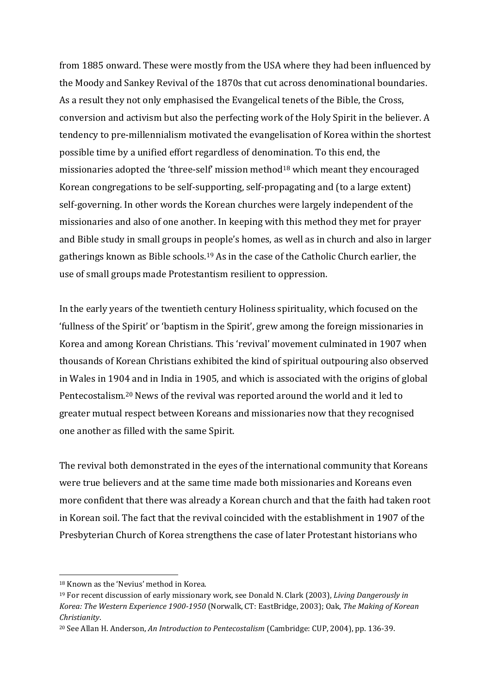from 1885 onward. These were mostly from the USA where they had been influenced by the Moody and Sankey Revival of the 1870s that cut across denominational boundaries. As a result they not only emphasised the Evangelical tenets of the Bible, the Cross, conversion and activism but also the perfecting work of the Holy Spirit in the believer. A tendency to pre-millennialism motivated the evangelisation of Korea within the shortest possible time by a unified effort regardless of denomination. To this end, the missionaries adopted the 'three-self' mission method<sup>18</sup> which meant they encouraged Korean congregations to be self-supporting, self-propagating and (to a large extent) self-governing. In other words the Korean churches were largely independent of the missionaries and also of one another. In keeping with this method they met for prayer and Bible study in small groups in people's homes, as well as in church and also in larger gatherings known as Bible schools.<sup>19</sup> As in the case of the Catholic Church earlier, the use of small groups made Protestantism resilient to oppression.

In the early years of the twentieth century Holiness spirituality, which focused on the 'fullness of the Spirit' or 'baptism in the Spirit', grew among the foreign missionaries in Korea and among Korean Christians. This 'revival' movement culminated in 1907 when thousands of Korean Christians exhibited the kind of spiritual outpouring also observed in Wales in 1904 and in India in 1905, and which is associated with the origins of global Pentecostalism. <sup>20</sup> News of the revival was reported around the world and it led to greater mutual respect between Koreans and missionaries now that they recognised one another as filled with the same Spirit.

The revival both demonstrated in the eyes of the international community that Koreans were true believers and at the same time made both missionaries and Koreans even more confident that there was already a Korean church and that the faith had taken root in Korean soil. The fact that the revival coincided with the establishment in 1907 of the Presbyterian Church of Korea strengthens the case of later Protestant historians who

<sup>18</sup> Known as the 'Nevius' method in Korea.

<sup>19</sup> For recent discussion of early missionary work, see Donald N. Clark (2003), *Living Dangerously in Korea: The Western Experience 1900-1950* (Norwalk, CT: EastBridge, 2003); Oak, *The Making of Korean Christianity*.

<sup>20</sup> See Allan H. Anderson, *An Introduction to Pentecostalism* (Cambridge: CUP, 2004), pp. 136-39.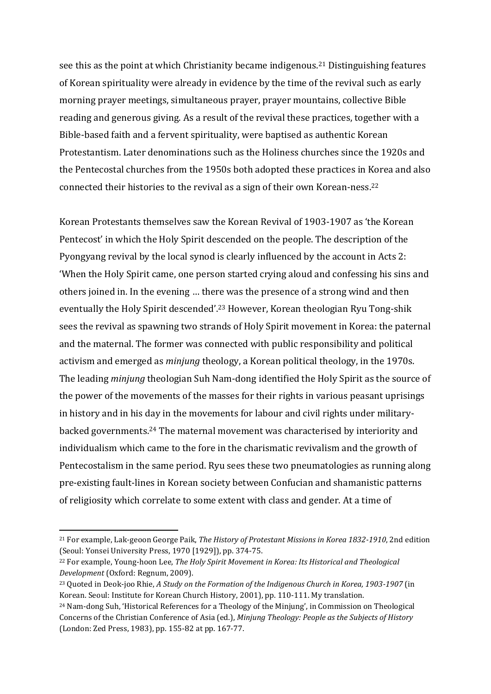see this as the point at which Christianity became indigenous.<sup>21</sup> Distinguishing features of Korean spirituality were already in evidence by the time of the revival such as early morning prayer meetings, simultaneous prayer, prayer mountains, collective Bible reading and generous giving. As a result of the revival these practices, together with a Bible-based faith and a fervent spirituality, were baptised as authentic Korean Protestantism. Later denominations such as the Holiness churches since the 1920s and the Pentecostal churches from the 1950s both adopted these practices in Korea and also connected their histories to the revival as a sign of their own Korean-ness.<sup>22</sup>

Korean Protestants themselves saw the Korean Revival of 1903-1907 as 'the Korean Pentecost' in which the Holy Spirit descended on the people. The description of the Pyongyang revival by the local synod is clearly influenced by the account in Acts 2: 'When the Holy Spirit came, one person started crying aloud and confessing his sins and others joined in. In the evening … there was the presence of a strong wind and then eventually the Holy Spirit descended'.<sup>23</sup> However, Korean theologian Ryu Tong-shik sees the revival as spawning two strands of Holy Spirit movement in Korea: the paternal and the maternal. The former was connected with public responsibility and political activism and emerged as *minjung* theology, a Korean political theology, in the 1970s. The leading *minjung* theologian Suh Nam-dong identified the Holy Spirit as the source of the power of the movements of the masses for their rights in various peasant uprisings in history and in his day in the movements for labour and civil rights under militarybacked governments.<sup>24</sup> The maternal movement was characterised by interiority and individualism which came to the fore in the charismatic revivalism and the growth of Pentecostalism in the same period. Ryu sees these two pneumatologies as running along pre-existing fault-lines in Korean society between Confucian and shamanistic patterns of religiosity which correlate to some extent with class and gender. At a time of

<sup>21</sup> For example, Lak-geoon George Paik, *The History of Protestant Missions in Korea 1832-1910*, 2nd edition (Seoul: Yonsei University Press, 1970 [1929]), pp. 374-75.

<sup>22</sup> For example, Young-hoon Lee, *The Holy Spirit Movement in Korea: Its Historical and Theological Development* (Oxford: Regnum, 2009).

<sup>23</sup> Quoted in Deok-joo Rhie, *A Study on the Formation of the Indigenous Church in Korea, 1903-1907* (in Korean. Seoul: Institute for Korean Church History, 2001), pp. 110-111. My translation.

<sup>24</sup> Nam-dong Suh, 'Historical References for a Theology of the Minjung', in Commission on Theological Concerns of the Christian Conference of Asia (ed.), *Minjung Theology: People as the Subjects of History* (London: Zed Press, 1983), pp. 155-82 at pp. 167-77.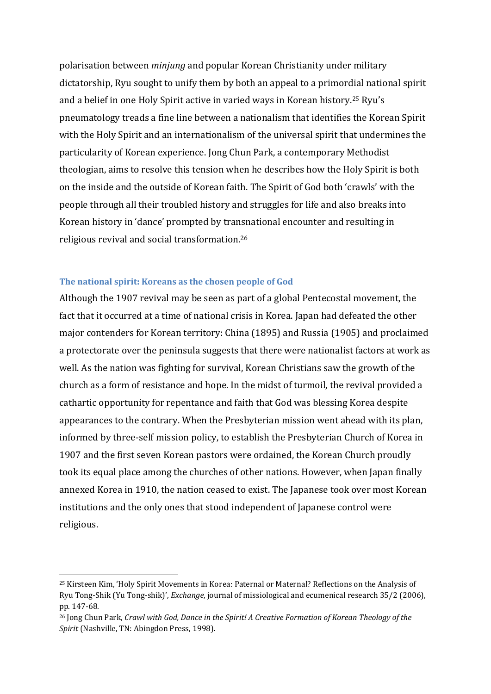polarisation between *minjung* and popular Korean Christianity under military dictatorship, Ryu sought to unify them by both an appeal to a primordial national spirit and a belief in one Holy Spirit active in varied ways in Korean history.<sup>25</sup> Ryu's pneumatology treads a fine line between a nationalism that identifies the Korean Spirit with the Holy Spirit and an internationalism of the universal spirit that undermines the particularity of Korean experience. Jong Chun Park, a contemporary Methodist theologian, aims to resolve this tension when he describes how the Holy Spirit is both on the inside and the outside of Korean faith. The Spirit of God both 'crawls' with the people through all their troubled history and struggles for life and also breaks into Korean history in 'dance' prompted by transnational encounter and resulting in religious revival and social transformation.<sup>26</sup>

#### **The national spirit: Koreans as the chosen people of God**

<u>.</u>

Although the 1907 revival may be seen as part of a global Pentecostal movement, the fact that it occurred at a time of national crisis in Korea. Japan had defeated the other major contenders for Korean territory: China (1895) and Russia (1905) and proclaimed a protectorate over the peninsula suggests that there were nationalist factors at work as well. As the nation was fighting for survival, Korean Christians saw the growth of the church as a form of resistance and hope. In the midst of turmoil, the revival provided a cathartic opportunity for repentance and faith that God was blessing Korea despite appearances to the contrary. When the Presbyterian mission went ahead with its plan, informed by three-self mission policy, to establish the Presbyterian Church of Korea in 1907 and the first seven Korean pastors were ordained, the Korean Church proudly took its equal place among the churches of other nations. However, when Japan finally annexed Korea in 1910, the nation ceased to exist. The Japanese took over most Korean institutions and the only ones that stood independent of Japanese control were religious.

<sup>25</sup> Kirsteen Kim, 'Holy Spirit Movements in Korea: Paternal or Maternal? Reflections on the Analysis of Ryu Tong-Shik (Yu Tong-shik)', *Exchange*, journal of missiological and ecumenical research 35/2 (2006), pp. 147-68.

<sup>26</sup> Jong Chun Park, *Crawl with God, Dance in the Spirit! A Creative Formation of Korean Theology of the Spirit* (Nashville, TN: Abingdon Press, 1998).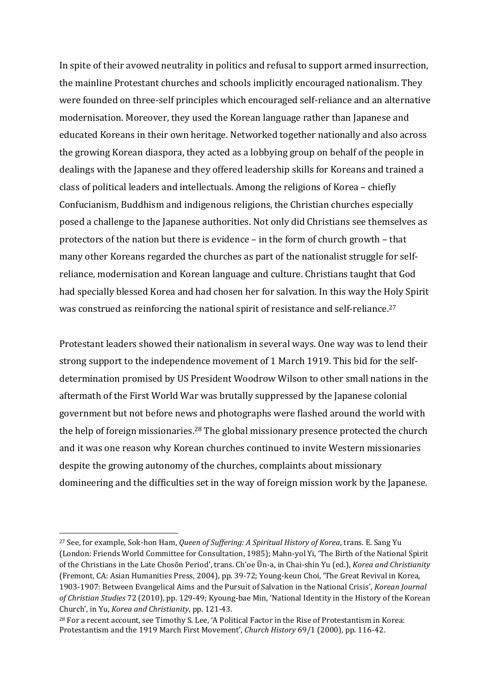In spite of their avowed neutrality in politics and refusal to support armed insurrection, the mainline Protestant churches and schools implicitly encouraged nationalism. They were founded on three-self principles which encouraged self-reliance and an alternative modernisation. Moreover, they used the Korean language rather than Japanese and educated Koreans in their own heritage. Networked together nationally and also across the growing Korean diaspora, they acted as a lobbying group on behalf of the people in dealings with the Japanese and they offered leadership skills for Koreans and trained a class of political leaders and intellectuals. Among the religions of Korea – chiefly Confucianism, Buddhism and indigenous religions, the Christian churches especially posed a challenge to the Japanese authorities. Not only did Christians see themselves as protectors of the nation but there is evidence – in the form of church growth – that many other Koreans regarded the churches as part of the nationalist struggle for selfreliance, modernisation and Korean language and culture. Christians taught that God had specially blessed Korea and had chosen her for salvation. In this way the Holy Spirit was construed as reinforcing the national spirit of resistance and self-reliance. 27

Protestant leaders showed their nationalism in several ways. One way was to lend their strong support to the independence movement of 1 March 1919. This bid for the selfdetermination promised by US President Woodrow Wilson to other small nations in the aftermath of the First World War was brutally suppressed by the Japanese colonial government but not before news and photographs were flashed around the world with the help of foreign missionaries.<sup>28</sup> The global missionary presence protected the church and it was one reason why Korean churches continued to invite Western missionaries despite the growing autonomy of the churches, complaints about missionary domineering and the difficulties set in the way of foreign mission work by the Japanese.

<sup>27</sup> See, for example, Sok-hon Ham, *Queen of Suffering: A Spiritual History of Korea*, trans. E. Sang Yu (London: Friends World Committee for Consultation, 1985); Mahn-yol Yi, 'The Birth of the National Spirit of the Christians in the Late Chosŏn Period', trans. Ch'oe Ŭn-a, in Chai-shin Yu (ed.), *Korea and Christianity* (Fremont, CA: Asian Humanities Press, 2004), pp. 39-72; Young-keun Choi, 'The Great Revival in Korea, 1903-1907: Between Evangelical Aims and the Pursuit of Salvation in the National Crisis', *Korean Journal of Christian Studies* 72 (2010), pp. 129-49; Kyoung-bae Min, 'National Identity in the History of the Korean Church', in Yu, *Korea and Christianity*, pp. 121-43.

<sup>28</sup> For a recent account, see Timothy S. Lee, 'A Political Factor in the Rise of Protestantism in Korea: Protestantism and the 1919 March First Movement', *Church History* 69/1 (2000), pp. 116-42.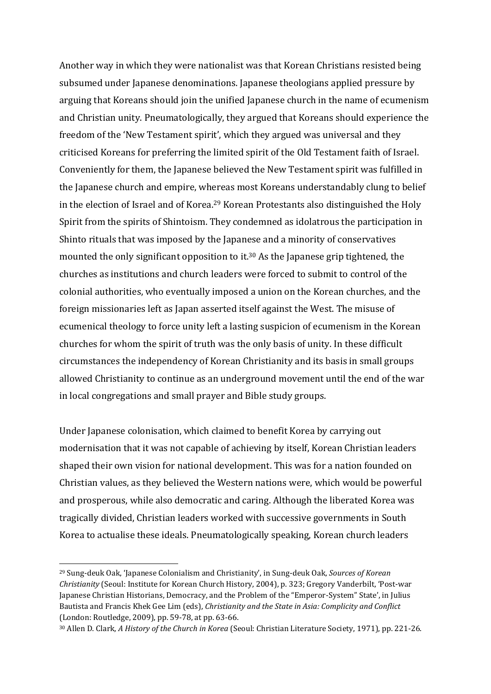Another way in which they were nationalist was that Korean Christians resisted being subsumed under Japanese denominations. Japanese theologians applied pressure by arguing that Koreans should join the unified Japanese church in the name of ecumenism and Christian unity. Pneumatologically, they argued that Koreans should experience the freedom of the 'New Testament spirit', which they argued was universal and they criticised Koreans for preferring the limited spirit of the Old Testament faith of Israel. Conveniently for them, the Japanese believed the New Testament spirit was fulfilled in the Japanese church and empire, whereas most Koreans understandably clung to belief in the election of Israel and of Korea. <sup>29</sup> Korean Protestants also distinguished the Holy Spirit from the spirits of Shintoism. They condemned as idolatrous the participation in Shinto rituals that was imposed by the Japanese and a minority of conservatives mounted the only significant opposition to it. <sup>30</sup> As the Japanese grip tightened, the churches as institutions and church leaders were forced to submit to control of the colonial authorities, who eventually imposed a union on the Korean churches, and the foreign missionaries left as Japan asserted itself against the West. The misuse of ecumenical theology to force unity left a lasting suspicion of ecumenism in the Korean churches for whom the spirit of truth was the only basis of unity. In these difficult circumstances the independency of Korean Christianity and its basis in small groups allowed Christianity to continue as an underground movement until the end of the war in local congregations and small prayer and Bible study groups.

Under Japanese colonisation, which claimed to benefit Korea by carrying out modernisation that it was not capable of achieving by itself, Korean Christian leaders shaped their own vision for national development. This was for a nation founded on Christian values, as they believed the Western nations were, which would be powerful and prosperous, while also democratic and caring. Although the liberated Korea was tragically divided, Christian leaders worked with successive governments in South Korea to actualise these ideals. Pneumatologically speaking, Korean church leaders

<sup>29</sup> Sung-deuk Oak, 'Japanese Colonialism and Christianity', in Sung-deuk Oak, *Sources of Korean Christianity* (Seoul: Institute for Korean Church History, 2004), p. 323; Gregory Vanderbilt, 'Post-war Japanese Christian Historians, Democracy, and the Problem of the "Emperor-System" State', in Julius Bautista and Francis Khek Gee Lim (eds), *Christianity and the State in Asia: Complicity and Conflict* (London: Routledge, 2009), pp. 59-78, at pp. 63-66.

<sup>30</sup> Allen D. Clark, *A History of the Church in Korea* (Seoul: Christian Literature Society, 1971), pp. 221-26.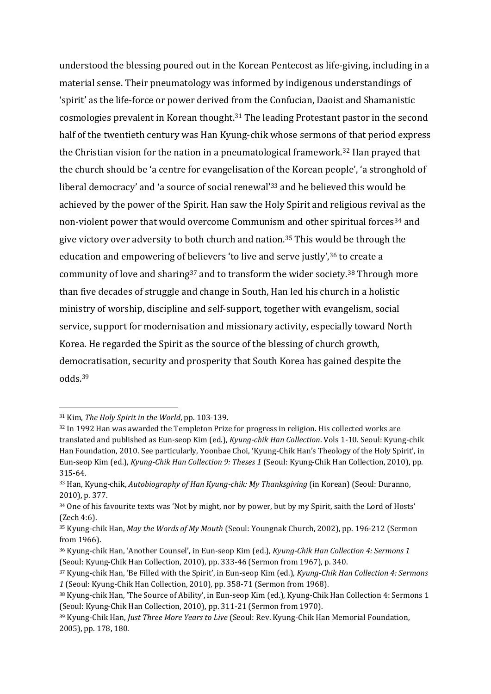understood the blessing poured out in the Korean Pentecost as life-giving, including in a material sense. Their pneumatology was informed by indigenous understandings of 'spirit' as the life-force or power derived from the Confucian, Daoist and Shamanistic cosmologies prevalent in Korean thought. <sup>31</sup> The leading Protestant pastor in the second half of the twentieth century was Han Kyung-chik whose sermons of that period express the Christian vision for the nation in a pneumatological framework. <sup>32</sup> Han prayed that the church should be 'a centre for evangelisation of the Korean people', 'a stronghold of liberal democracy' and 'a source of social renewal'<sup>33</sup> and he believed this would be achieved by the power of the Spirit. Han saw the Holy Spirit and religious revival as the non-violent power that would overcome Communism and other spiritual forces<sup>34</sup> and give victory over adversity to both church and nation.<sup>35</sup> This would be through the education and empowering of believers 'to live and serve justly',<sup>36</sup> to create a community of love and sharing<sup>37</sup> and to transform the wider society.<sup>38</sup> Through more than five decades of struggle and change in South, Han led his church in a holistic ministry of worship, discipline and self-support, together with evangelism, social service, support for modernisation and missionary activity, especially toward North Korea. He regarded the Spirit as the source of the blessing of church growth, democratisation, security and prosperity that South Korea has gained despite the odds.<sup>39</sup>

<sup>31</sup> Kim, *The Holy Spirit in the World*, pp. 103-139.

<sup>&</sup>lt;sup>32</sup> In 1992 Han was awarded the Templeton Prize for progress in religion. His collected works are translated and published as Eun-seop Kim (ed.), *Kyung-chik Han Collection*. Vols 1-10. Seoul: Kyung-chik Han Foundation, 2010. See particularly, Yoonbae Choi, 'Kyung-Chik Han's Theology of the Holy Spirit', in Eun-seop Kim (ed.), *Kyung-Chik Han Collection 9: Theses 1* (Seoul: Kyung-Chik Han Collection, 2010), pp. 315-64.

<sup>33</sup> Han, Kyung-chik, *Autobiography of Han Kyung-chik: My Thanksgiving* (in Korean) (Seoul: Duranno, 2010), p. 377.

<sup>34</sup> One of his favourite texts was 'Not by might, nor by power, but by my Spirit, saith the Lord of Hosts' (Zech 4:6).

<sup>35</sup> Kyung-chik Han, *May the Words of My Mouth* (Seoul: Youngnak Church, 2002), pp. 196-212 (Sermon from 1966).

<sup>36</sup> Kyung-chik Han, 'Another Counsel', in Eun-seop Kim (ed.), *Kyung-Chik Han Collection 4: Sermons 1* (Seoul: Kyung-Chik Han Collection, 2010), pp. 333-46 (Sermon from 1967), p. 340.

<sup>37</sup> Kyung-chik Han, 'Be Filled with the Spirit', in Eun-seop Kim (ed.), *Kyung-Chik Han Collection 4: Sermons 1* (Seoul: Kyung-Chik Han Collection, 2010), pp. 358-71 (Sermon from 1968).

<sup>38</sup> Kyung-chik Han, 'The Source of Ability', in Eun-seop Kim (ed.), Kyung-Chik Han Collection 4: Sermons 1 (Seoul: Kyung-Chik Han Collection, 2010), pp. 311-21 (Sermon from 1970).

<sup>39</sup> Kyung-Chik Han, *Just Three More Years to Live* (Seoul: Rev. Kyung-Chik Han Memorial Foundation, 2005), pp. 178, 180.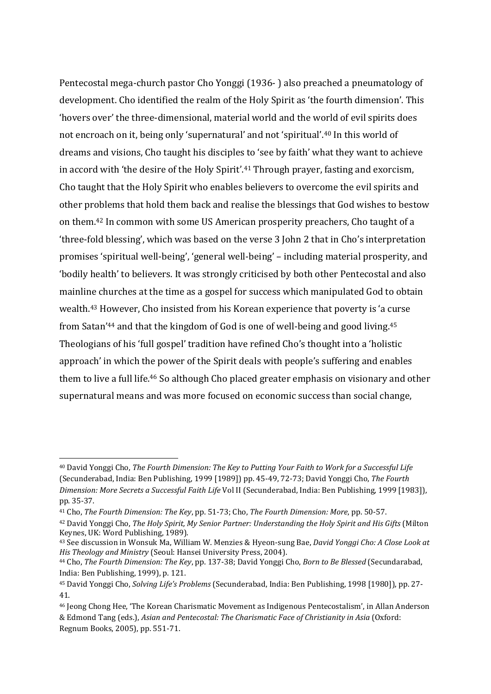Pentecostal mega-church pastor Cho Yonggi (1936- ) also preached a pneumatology of development. Cho identified the realm of the Holy Spirit as 'the fourth dimension'. This 'hovers over' the three-dimensional, material world and the world of evil spirits does not encroach on it, being only 'supernatural' and not 'spiritual'.<sup>40</sup> In this world of dreams and visions, Cho taught his disciples to 'see by faith' what they want to achieve in accord with 'the desire of the Holy Spirit'.<sup>41</sup> Through prayer, fasting and exorcism, Cho taught that the Holy Spirit who enables believers to overcome the evil spirits and other problems that hold them back and realise the blessings that God wishes to bestow on them. <sup>42</sup> In common with some US American prosperity preachers, Cho taught of a 'three-fold blessing', which was based on the verse 3 John 2 that in Cho's interpretation promises 'spiritual well-being', 'general well-being' – including material prosperity, and 'bodily health' to believers. It was strongly criticised by both other Pentecostal and also mainline churches at the time as a gospel for success which manipulated God to obtain wealth. <sup>43</sup> However, Cho insisted from his Korean experience that poverty is 'a curse from Satan'<sup>44</sup> and that the kingdom of God is one of well-being and good living. 45 Theologians of his 'full gospel' tradition have refined Cho's thought into a 'holistic approach' in which the power of the Spirit deals with people's suffering and enables them to live a full life. <sup>46</sup> So although Cho placed greater emphasis on visionary and other supernatural means and was more focused on economic success than social change,

<sup>40</sup> David Yonggi Cho, *The Fourth Dimension: The Key to Putting Your Faith to Work for a Successful Life* (Secunderabad, India: Ben Publishing, 1999 [1989]) pp. 45-49, 72-73; David Yonggi Cho, *The Fourth Dimension: More Secrets a Successful Faith Life* Vol II (Secunderabad, India: Ben Publishing, 1999 [1983]), pp. 35-37.

<sup>41</sup> Cho, *The Fourth Dimension: The Key*, pp. 51-73; Cho, *The Fourth Dimension: More*, pp. 50-57.

<sup>42</sup> David Yonggi Cho, *The Holy Spirit, My Senior Partner: Understanding the Holy Spirit and His Gifts* (Milton Keynes, UK: Word Publishing, 1989).

<sup>43</sup> See discussion in Wonsuk Ma, William W. Menzies & Hyeon-sung Bae, *David Yonggi Cho: A Close Look at His Theology and Ministry* (Seoul: Hansei University Press, 2004).

<sup>44</sup> Cho, *The Fourth Dimension: The Key*, pp. 137-38; David Yonggi Cho, *Born to Be Blessed* (Secundarabad, India: Ben Publishing, 1999), p. 121.

<sup>45</sup> David Yonggi Cho, *Solving Life's Problems* (Secunderabad, India: Ben Publishing, 1998 [1980]), pp. 27- 41.

<sup>46</sup> Jeong Chong Hee, 'The Korean Charismatic Movement as Indigenous Pentecostalism', in Allan Anderson & Edmond Tang (eds.), *Asian and Pentecostal: The Charismatic Face of Christianity in Asia* (Oxford: Regnum Books, 2005), pp. 551-71.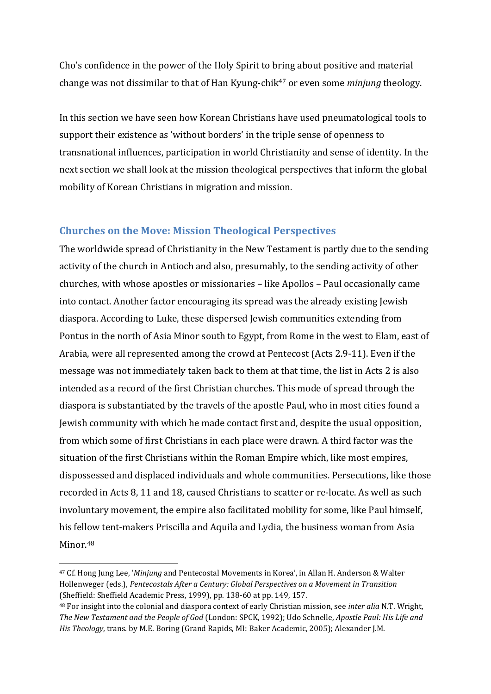Cho's confidence in the power of the Holy Spirit to bring about positive and material change was not dissimilar to that of Han Kyung-chik<sup>47</sup> or even some *minjung* theology.

In this section we have seen how Korean Christians have used pneumatological tools to support their existence as 'without borders' in the triple sense of openness to transnational influences, participation in world Christianity and sense of identity. In the next section we shall look at the mission theological perspectives that inform the global mobility of Korean Christians in migration and mission.

## **Churches on the Move: Mission Theological Perspectives**

The worldwide spread of Christianity in the New Testament is partly due to the sending activity of the church in Antioch and also, presumably, to the sending activity of other churches, with whose apostles or missionaries – like Apollos – Paul occasionally came into contact. Another factor encouraging its spread was the already existing Jewish diaspora. According to Luke, these dispersed Jewish communities extending from Pontus in the north of Asia Minor south to Egypt, from Rome in the west to Elam, east of Arabia, were all represented among the crowd at Pentecost (Acts 2.9-11). Even if the message was not immediately taken back to them at that time, the list in Acts 2 is also intended as a record of the first Christian churches. This mode of spread through the diaspora is substantiated by the travels of the apostle Paul, who in most cities found a Jewish community with which he made contact first and, despite the usual opposition, from which some of first Christians in each place were drawn. A third factor was the situation of the first Christians within the Roman Empire which, like most empires, dispossessed and displaced individuals and whole communities. Persecutions, like those recorded in Acts 8, 11 and 18, caused Christians to scatter or re-locate. As well as such involuntary movement, the empire also facilitated mobility for some, like Paul himself, his fellow tent-makers Priscilla and Aquila and Lydia, the business woman from Asia Minor. 48

<sup>47</sup> Cf. Hong Jung Lee, '*Minjung* and Pentecostal Movements in Korea', in Allan H. Anderson & Walter Hollenweger (eds.), *Pentecostals After a Century: Global Perspectives on a Movement in Transition* (Sheffield: Sheffield Academic Press, 1999), pp. 138-60 at pp. 149, 157.

<sup>48</sup> For insight into the colonial and diaspora context of early Christian mission, see *inter alia* N.T. Wright, *The New Testament and the People of God* (London: SPCK, 1992); Udo Schnelle, *Apostle Paul: His Life and His Theology*, trans. by M.E. Boring (Grand Rapids, MI: Baker Academic, 2005); Alexander J.M.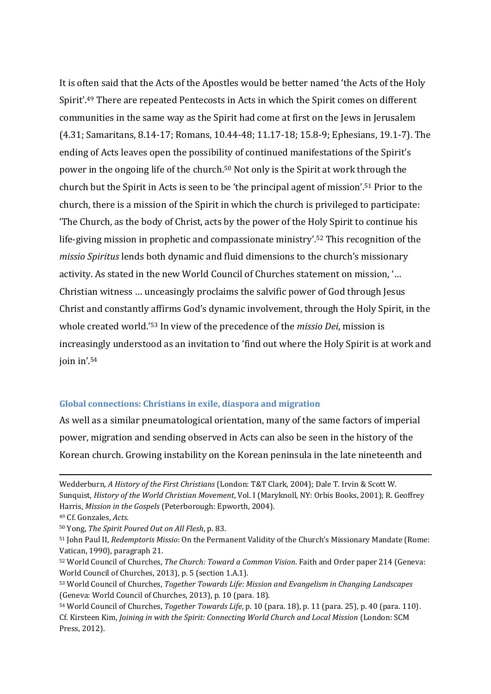It is often said that the Acts of the Apostles would be better named 'the Acts of the Holy Spirit'.<sup>49</sup> There are repeated Pentecosts in Acts in which the Spirit comes on different communities in the same way as the Spirit had come at first on the Jews in Jerusalem (4.31; Samaritans, 8.14-17; Romans, 10.44-48; 11.17-18; 15.8-9; Ephesians, 19.1-7). The ending of Acts leaves open the possibility of continued manifestations of the Spirit's power in the ongoing life of the church. <sup>50</sup> Not only is the Spirit at work through the church but the Spirit in Acts is seen to be 'the principal agent of mission'. <sup>51</sup> Prior to the church, there is a mission of the Spirit in which the church is privileged to participate: 'The Church, as the body of Christ, acts by the power of the Holy Spirit to continue his life-giving mission in prophetic and compassionate ministry'. <sup>52</sup> This recognition of the *missio Spiritus* lends both dynamic and fluid dimensions to the church's missionary activity. As stated in the new World Council of Churches statement on mission, '… Christian witness … unceasingly proclaims the salvific power of God through Jesus Christ and constantly affirms God's dynamic involvement, through the Holy Spirit, in the whole created world.' <sup>53</sup> In view of the precedence of the *missio Dei*, mission is increasingly understood as an invitation to 'find out where the Holy Spirit is at work and join in'. 54

#### **Global connections: Christians in exile, diaspora and migration**

As well as a similar pneumatological orientation, many of the same factors of imperial power, migration and sending observed in Acts can also be seen in the history of the Korean church. Growing instability on the Korean peninsula in the late nineteenth and

Wedderburn, *A History of the First Christians* (London: T&T Clark, 2004); Dale T. Irvin & Scott W. Sunquist, *History of the World Christian Movement*, Vol. I (Maryknoll, NY: Orbis Books, 2001); R. Geoffrey Harris, *Mission in the Gospels* (Peterborough: Epworth, 2004).

<sup>49</sup> Cf. Gonzales, *Acts*.

<sup>50</sup> Yong, *The Spirit Poured Out on All Flesh*, p. 83.

<sup>51</sup> John Paul II, *Redemptoris Missio*: On the Permanent Validity of the Church's Missionary Mandate (Rome: Vatican, 1990), paragraph 21.

<sup>52</sup> World Council of Churches, *The Church: Toward a Common Vision*. Faith and Order paper 214 (Geneva: World Council of Churches, 2013), p. 5 (section 1.A.1).

<sup>53</sup> World Council of Churches, *Together Towards Life: Mission and Evangelism in Changing Landscapes* (Geneva: World Council of Churches, 2013), p. 10 (para. 18).

<sup>54</sup> World Council of Churches, *Together Towards Life*, p. 10 (para. 18), p. 11 (para. 25), p. 40 (para. 110). Cf. Kirsteen Kim, *Joining in with the Spirit: Connecting World Church and Local Mission* (London: SCM Press, 2012).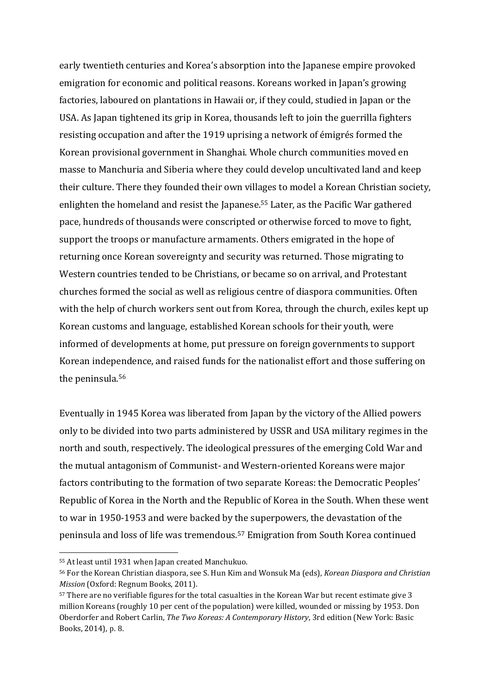early twentieth centuries and Korea's absorption into the Japanese empire provoked emigration for economic and political reasons. Koreans worked in Japan's growing factories, laboured on plantations in Hawaii or, if they could, studied in Japan or the USA. As Japan tightened its grip in Korea, thousands left to join the guerrilla fighters resisting occupation and after the 1919 uprising a network of émigrés formed the Korean provisional government in Shanghai. Whole church communities moved en masse to Manchuria and Siberia where they could develop uncultivated land and keep their culture. There they founded their own villages to model a Korean Christian society, enlighten the homeland and resist the Japanese. <sup>55</sup> Later, as the Pacific War gathered pace, hundreds of thousands were conscripted or otherwise forced to move to fight, support the troops or manufacture armaments. Others emigrated in the hope of returning once Korean sovereignty and security was returned. Those migrating to Western countries tended to be Christians, or became so on arrival, and Protestant churches formed the social as well as religious centre of diaspora communities. Often with the help of church workers sent out from Korea, through the church, exiles kept up Korean customs and language, established Korean schools for their youth, were informed of developments at home, put pressure on foreign governments to support Korean independence, and raised funds for the nationalist effort and those suffering on the peninsula.<sup>56</sup>

Eventually in 1945 Korea was liberated from Japan by the victory of the Allied powers only to be divided into two parts administered by USSR and USA military regimes in the north and south, respectively. The ideological pressures of the emerging Cold War and the mutual antagonism of Communist- and Western-oriented Koreans were major factors contributing to the formation of two separate Koreas: the Democratic Peoples' Republic of Korea in the North and the Republic of Korea in the South. When these went to war in 1950-1953 and were backed by the superpowers, the devastation of the peninsula and loss of life was tremendous.<sup>57</sup> Emigration from South Korea continued

<sup>55</sup> At least until 1931 when Japan created Manchukuo.

<sup>56</sup> For the Korean Christian diaspora, see S. Hun Kim and Wonsuk Ma (eds), *Korean Diaspora and Christian Mission* (Oxford: Regnum Books, 2011).

<sup>57</sup> There are no verifiable figures for the total casualties in the Korean War but recent estimate give 3 million Koreans (roughly 10 per cent of the population) were killed, wounded or missing by 1953. Don Oberdorfer and Robert Carlin, *The Two Koreas: A Contemporary History*, 3rd edition (New York: Basic Books, 2014), p. 8.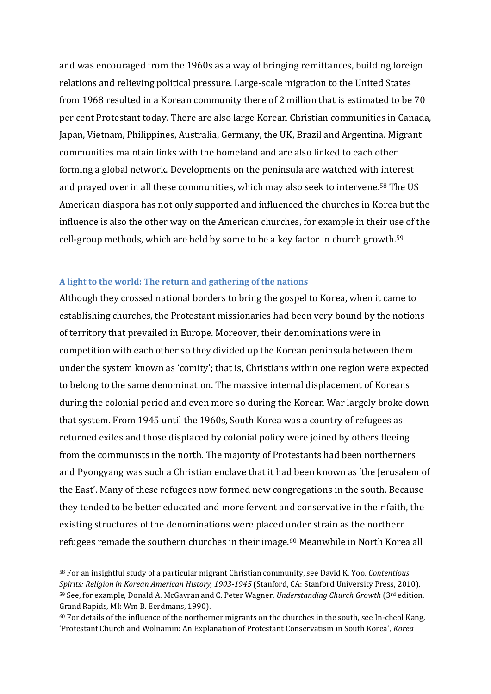and was encouraged from the 1960s as a way of bringing remittances, building foreign relations and relieving political pressure. Large-scale migration to the United States from 1968 resulted in a Korean community there of 2 million that is estimated to be 70 per cent Protestant today. There are also large Korean Christian communities in Canada, Japan, Vietnam, Philippines, Australia, Germany, the UK, Brazil and Argentina. Migrant communities maintain links with the homeland and are also linked to each other forming a global network. Developments on the peninsula are watched with interest and prayed over in all these communities, which may also seek to intervene. <sup>58</sup> The US American diaspora has not only supported and influenced the churches in Korea but the influence is also the other way on the American churches, for example in their use of the cell-group methods, which are held by some to be a key factor in church growth.<sup>59</sup>

#### **A light to the world: The return and gathering of the nations**

<u>.</u>

Although they crossed national borders to bring the gospel to Korea, when it came to establishing churches, the Protestant missionaries had been very bound by the notions of territory that prevailed in Europe. Moreover, their denominations were in competition with each other so they divided up the Korean peninsula between them under the system known as 'comity'; that is, Christians within one region were expected to belong to the same denomination. The massive internal displacement of Koreans during the colonial period and even more so during the Korean War largely broke down that system. From 1945 until the 1960s, South Korea was a country of refugees as returned exiles and those displaced by colonial policy were joined by others fleeing from the communists in the north. The majority of Protestants had been northerners and Pyongyang was such a Christian enclave that it had been known as 'the Jerusalem of the East'. Many of these refugees now formed new congregations in the south. Because they tended to be better educated and more fervent and conservative in their faith, the existing structures of the denominations were placed under strain as the northern refugees remade the southern churches in their image.<sup>60</sup> Meanwhile in North Korea all

<sup>58</sup> For an insightful study of a particular migrant Christian community, see David K. Yoo, *Contentious Spirits: Religion in Korean American History, 1903-1945* (Stanford, CA: Stanford University Press, 2010). <sup>59</sup> See, for example, Donald A. McGavran and C. Peter Wagner, *Understanding Church Growth* (3rd edition. Grand Rapids, MI: Wm B. Eerdmans, 1990).

<sup>60</sup> For details of the influence of the northerner migrants on the churches in the south, see In-cheol Kang, 'Protestant Church and Wolnamin: An Explanation of Protestant Conservatism in South Korea', *Korea*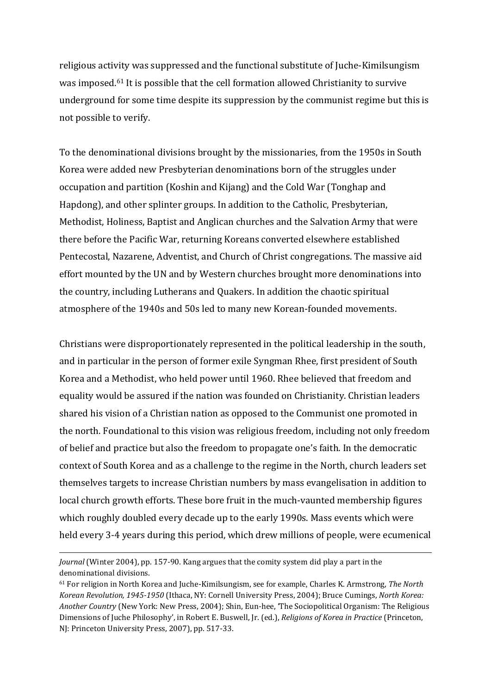religious activity was suppressed and the functional substitute of Juche-Kimilsungism was imposed.<sup>61</sup> It is possible that the cell formation allowed Christianity to survive underground for some time despite its suppression by the communist regime but this is not possible to verify.

To the denominational divisions brought by the missionaries, from the 1950s in South Korea were added new Presbyterian denominations born of the struggles under occupation and partition (Koshin and Kijang) and the Cold War (Tonghap and Hapdong), and other splinter groups. In addition to the Catholic, Presbyterian, Methodist, Holiness, Baptist and Anglican churches and the Salvation Army that were there before the Pacific War, returning Koreans converted elsewhere established Pentecostal, Nazarene, Adventist, and Church of Christ congregations. The massive aid effort mounted by the UN and by Western churches brought more denominations into the country, including Lutherans and Quakers. In addition the chaotic spiritual atmosphere of the 1940s and 50s led to many new Korean-founded movements.

Christians were disproportionately represented in the political leadership in the south, and in particular in the person of former exile Syngman Rhee, first president of South Korea and a Methodist, who held power until 1960. Rhee believed that freedom and equality would be assured if the nation was founded on Christianity. Christian leaders shared his vision of a Christian nation as opposed to the Communist one promoted in the north. Foundational to this vision was religious freedom, including not only freedom of belief and practice but also the freedom to propagate one's faith. In the democratic context of South Korea and as a challenge to the regime in the North, church leaders set themselves targets to increase Christian numbers by mass evangelisation in addition to local church growth efforts. These bore fruit in the much-vaunted membership figures which roughly doubled every decade up to the early 1990s. Mass events which were held every 3-4 years during this period, which drew millions of people, were ecumenical

*Journal* (Winter 2004), pp. 157-90. Kang argues that the comity system did play a part in the denominational divisions.

<sup>61</sup> For religion in North Korea and Juche-Kimilsungism, see for example, Charles K. Armstrong, *The North Korean Revolution, 1945-1950* (Ithaca, NY: Cornell University Press, 2004); Bruce Cumings, *North Korea: Another Country* (New York: New Press, 2004); Shin, Eun-hee, 'The Sociopolitical Organism: The Religious Dimensions of Juche Philosophy', in Robert E. Buswell, Jr. (ed.), *Religions of Korea in Practice* (Princeton, NJ: Princeton University Press, 2007), pp. 517-33.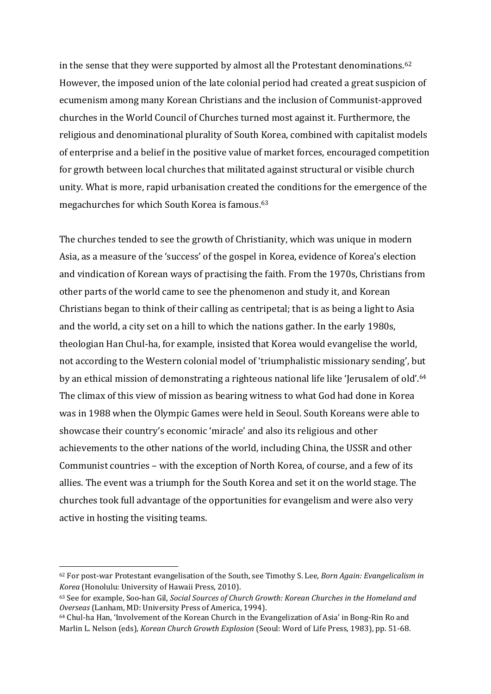in the sense that they were supported by almost all the Protestant denominations.<sup>62</sup> However, the imposed union of the late colonial period had created a great suspicion of ecumenism among many Korean Christians and the inclusion of Communist-approved churches in the World Council of Churches turned most against it. Furthermore, the religious and denominational plurality of South Korea, combined with capitalist models of enterprise and a belief in the positive value of market forces, encouraged competition for growth between local churches that militated against structural or visible church unity. What is more, rapid urbanisation created the conditions for the emergence of the megachurches for which South Korea is famous.<sup>63</sup>

The churches tended to see the growth of Christianity, which was unique in modern Asia, as a measure of the 'success' of the gospel in Korea, evidence of Korea's election and vindication of Korean ways of practising the faith. From the 1970s, Christians from other parts of the world came to see the phenomenon and study it, and Korean Christians began to think of their calling as centripetal; that is as being a light to Asia and the world, a city set on a hill to which the nations gather. In the early 1980s, theologian Han Chul-ha, for example, insisted that Korea would evangelise the world, not according to the Western colonial model of 'triumphalistic missionary sending', but by an ethical mission of demonstrating a righteous national life like 'Jerusalem of old'.<sup>64</sup> The climax of this view of mission as bearing witness to what God had done in Korea was in 1988 when the Olympic Games were held in Seoul. South Koreans were able to showcase their country's economic 'miracle' and also its religious and other achievements to the other nations of the world, including China, the USSR and other Communist countries – with the exception of North Korea, of course, and a few of its allies. The event was a triumph for the South Korea and set it on the world stage. The churches took full advantage of the opportunities for evangelism and were also very active in hosting the visiting teams.

<sup>62</sup> For post-war Protestant evangelisation of the South, see Timothy S. Lee, *Born Again: Evangelicalism in Korea* (Honolulu: University of Hawaii Press, 2010).

<sup>63</sup> See for example, Soo-han Gil, *Social Sources of Church Growth: Korean Churches in the Homeland and Overseas* (Lanham, MD: University Press of America, 1994).

<sup>64</sup> Chul-ha Han, 'Involvement of the Korean Church in the Evangelization of Asia' in Bong-Rin Ro and Marlin L. Nelson (eds), *Korean Church Growth Explosion* (Seoul: Word of Life Press, 1983), pp. 51-68.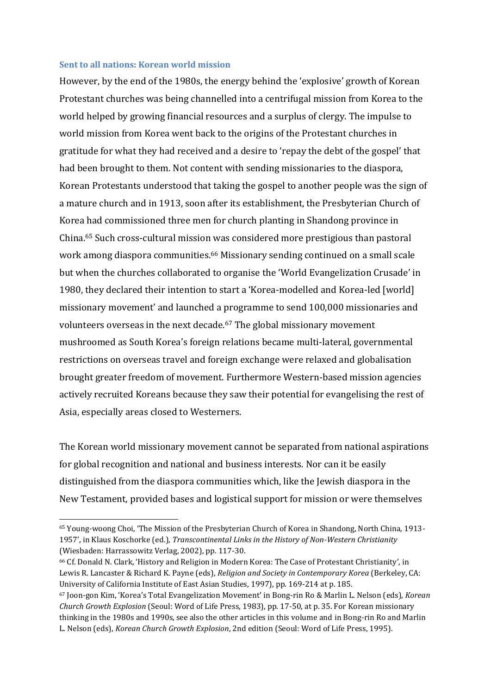#### **Sent to all nations: Korean world mission**

<u>.</u>

However, by the end of the 1980s, the energy behind the 'explosive' growth of Korean Protestant churches was being channelled into a centrifugal mission from Korea to the world helped by growing financial resources and a surplus of clergy. The impulse to world mission from Korea went back to the origins of the Protestant churches in gratitude for what they had received and a desire to 'repay the debt of the gospel' that had been brought to them. Not content with sending missionaries to the diaspora, Korean Protestants understood that taking the gospel to another people was the sign of a mature church and in 1913, soon after its establishment, the Presbyterian Church of Korea had commissioned three men for church planting in Shandong province in China.<sup>65</sup> Such cross-cultural mission was considered more prestigious than pastoral work among diaspora communities. <sup>66</sup> Missionary sending continued on a small scale but when the churches collaborated to organise the 'World Evangelization Crusade' in 1980, they declared their intention to start a 'Korea-modelled and Korea-led [world] missionary movement' and launched a programme to send 100,000 missionaries and volunteers overseas in the next decade.<sup>67</sup> The global missionary movement mushroomed as South Korea's foreign relations became multi-lateral, governmental restrictions on overseas travel and foreign exchange were relaxed and globalisation brought greater freedom of movement. Furthermore Western-based mission agencies actively recruited Koreans because they saw their potential for evangelising the rest of Asia, especially areas closed to Westerners.

The Korean world missionary movement cannot be separated from national aspirations for global recognition and national and business interests. Nor can it be easily distinguished from the diaspora communities which, like the Jewish diaspora in the New Testament, provided bases and logistical support for mission or were themselves

<sup>65</sup> Young-woong Choi, 'The Mission of the Presbyterian Church of Korea in Shandong, North China, 1913- 1957', in Klaus Koschorke (ed.), *Transcontinental Links in the History of Non-Western Christianity* (Wiesbaden: Harrassowitz Verlag, 2002), pp. 117-30.

<sup>66</sup> Cf. Donald N. Clark, 'History and Religion in Modern Korea: The Case of Protestant Christianity', in Lewis R. Lancaster & Richard K. Payne (eds), *Religion and Society in Contemporary Korea* (Berkeley, CA: University of California Institute of East Asian Studies, 1997), pp. 169-214 at p. 185.

<sup>67</sup> Joon-gon Kim, 'Korea's Total Evangelization Movement' in Bong-rin Ro & Marlin L. Nelson (eds), *Korean Church Growth Explosion* (Seoul: Word of Life Press, 1983), pp. 17-50, at p. 35. For Korean missionary thinking in the 1980s and 1990s, see also the other articles in this volume and in Bong-rin Ro and Marlin L. Nelson (eds), *Korean Church Growth Explosion*, 2nd edition (Seoul: Word of Life Press, 1995).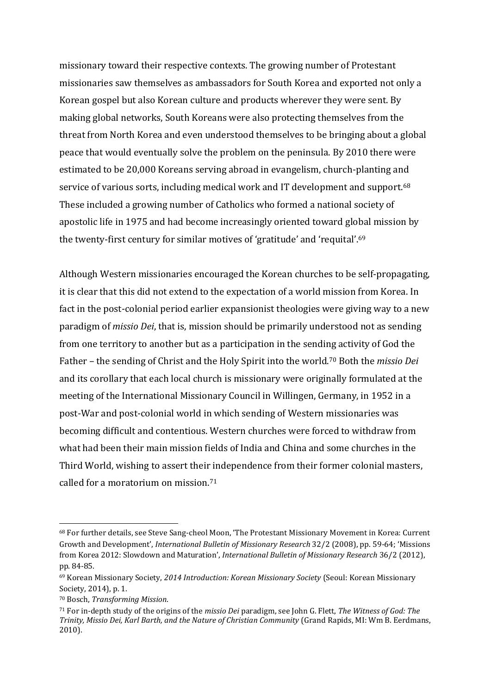missionary toward their respective contexts. The growing number of Protestant missionaries saw themselves as ambassadors for South Korea and exported not only a Korean gospel but also Korean culture and products wherever they were sent. By making global networks, South Koreans were also protecting themselves from the threat from North Korea and even understood themselves to be bringing about a global peace that would eventually solve the problem on the peninsula. By 2010 there were estimated to be 20,000 Koreans serving abroad in evangelism, church-planting and service of various sorts, including medical work and IT development and support.<sup>68</sup> These included a growing number of Catholics who formed a national society of apostolic life in 1975 and had become increasingly oriented toward global mission by the twenty-first century for similar motives of 'gratitude' and 'requital'.<sup>69</sup>

Although Western missionaries encouraged the Korean churches to be self-propagating, it is clear that this did not extend to the expectation of a world mission from Korea. In fact in the post-colonial period earlier expansionist theologies were giving way to a new paradigm of *missio Dei*, that is, mission should be primarily understood not as sending from one territory to another but as a participation in the sending activity of God the Father – the sending of Christ and the Holy Spirit into the world.<sup>70</sup> Both the *missio Dei* and its corollary that each local church is missionary were originally formulated at the meeting of the International Missionary Council in Willingen, Germany, in 1952 in a post-War and post-colonial world in which sending of Western missionaries was becoming difficult and contentious. Western churches were forced to withdraw from what had been their main mission fields of India and China and some churches in the Third World, wishing to assert their independence from their former colonial masters, called for a moratorium on mission.<sup>71</sup>

<sup>68</sup> For further details, see Steve Sang-cheol Moon, 'The Protestant Missionary Movement in Korea: Current Growth and Development', *International Bulletin of Missionary Research* 32/2 (2008), pp. 59-64; 'Missions from Korea 2012: Slowdown and Maturation', *International Bulletin of Missionary Research* 36/2 (2012), pp. 84-85.

<sup>69</sup> Korean Missionary Society, *2014 Introduction: Korean Missionary Society* (Seoul: Korean Missionary Society, 2014), p. 1.

<sup>70</sup> Bosch, *Transforming Mission*.

<sup>71</sup> For in-depth study of the origins of the *missio Dei* paradigm, see John G. Flett, *The Witness of God: The Trinity, Missio Dei, Karl Barth, and the Nature of Christian Community* (Grand Rapids, MI: Wm B. Eerdmans, 2010).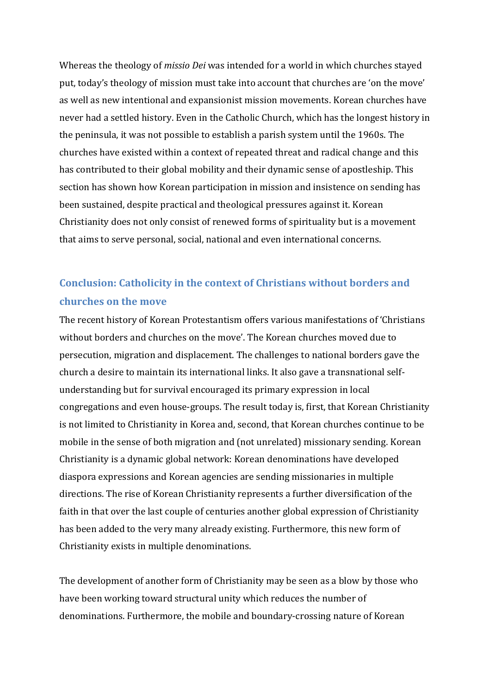Whereas the theology of *missio Dei* was intended for a world in which churches stayed put, today's theology of mission must take into account that churches are 'on the move' as well as new intentional and expansionist mission movements. Korean churches have never had a settled history. Even in the Catholic Church, which has the longest history in the peninsula, it was not possible to establish a parish system until the 1960s. The churches have existed within a context of repeated threat and radical change and this has contributed to their global mobility and their dynamic sense of apostleship. This section has shown how Korean participation in mission and insistence on sending has been sustained, despite practical and theological pressures against it. Korean Christianity does not only consist of renewed forms of spirituality but is a movement that aims to serve personal, social, national and even international concerns.

## **Conclusion: Catholicity in the context of Christians without borders and churches on the move**

The recent history of Korean Protestantism offers various manifestations of 'Christians without borders and churches on the move'. The Korean churches moved due to persecution, migration and displacement. The challenges to national borders gave the church a desire to maintain its international links. It also gave a transnational selfunderstanding but for survival encouraged its primary expression in local congregations and even house-groups. The result today is, first, that Korean Christianity is not limited to Christianity in Korea and, second, that Korean churches continue to be mobile in the sense of both migration and (not unrelated) missionary sending. Korean Christianity is a dynamic global network: Korean denominations have developed diaspora expressions and Korean agencies are sending missionaries in multiple directions. The rise of Korean Christianity represents a further diversification of the faith in that over the last couple of centuries another global expression of Christianity has been added to the very many already existing. Furthermore, this new form of Christianity exists in multiple denominations.

The development of another form of Christianity may be seen as a blow by those who have been working toward structural unity which reduces the number of denominations. Furthermore, the mobile and boundary-crossing nature of Korean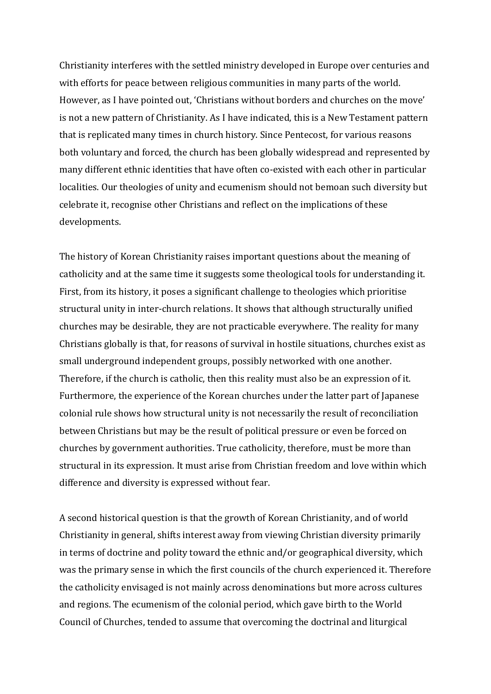Christianity interferes with the settled ministry developed in Europe over centuries and with efforts for peace between religious communities in many parts of the world. However, as I have pointed out, 'Christians without borders and churches on the move' is not a new pattern of Christianity. As I have indicated, this is a New Testament pattern that is replicated many times in church history. Since Pentecost, for various reasons both voluntary and forced, the church has been globally widespread and represented by many different ethnic identities that have often co-existed with each other in particular localities. Our theologies of unity and ecumenism should not bemoan such diversity but celebrate it, recognise other Christians and reflect on the implications of these developments.

The history of Korean Christianity raises important questions about the meaning of catholicity and at the same time it suggests some theological tools for understanding it. First, from its history, it poses a significant challenge to theologies which prioritise structural unity in inter-church relations. It shows that although structurally unified churches may be desirable, they are not practicable everywhere. The reality for many Christians globally is that, for reasons of survival in hostile situations, churches exist as small underground independent groups, possibly networked with one another. Therefore, if the church is catholic, then this reality must also be an expression of it. Furthermore, the experience of the Korean churches under the latter part of Japanese colonial rule shows how structural unity is not necessarily the result of reconciliation between Christians but may be the result of political pressure or even be forced on churches by government authorities. True catholicity, therefore, must be more than structural in its expression. It must arise from Christian freedom and love within which difference and diversity is expressed without fear.

A second historical question is that the growth of Korean Christianity, and of world Christianity in general, shifts interest away from viewing Christian diversity primarily in terms of doctrine and polity toward the ethnic and/or geographical diversity, which was the primary sense in which the first councils of the church experienced it. Therefore the catholicity envisaged is not mainly across denominations but more across cultures and regions. The ecumenism of the colonial period, which gave birth to the World Council of Churches, tended to assume that overcoming the doctrinal and liturgical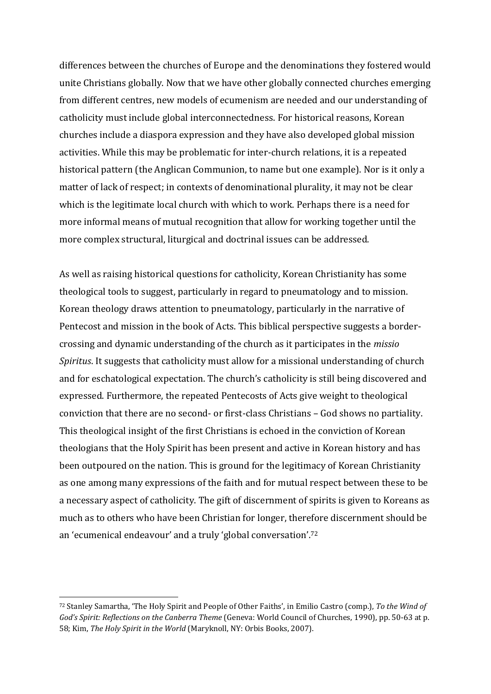differences between the churches of Europe and the denominations they fostered would unite Christians globally. Now that we have other globally connected churches emerging from different centres, new models of ecumenism are needed and our understanding of catholicity must include global interconnectedness. For historical reasons, Korean churches include a diaspora expression and they have also developed global mission activities. While this may be problematic for inter-church relations, it is a repeated historical pattern (the Anglican Communion, to name but one example). Nor is it only a matter of lack of respect; in contexts of denominational plurality, it may not be clear which is the legitimate local church with which to work. Perhaps there is a need for more informal means of mutual recognition that allow for working together until the more complex structural, liturgical and doctrinal issues can be addressed.

As well as raising historical questions for catholicity, Korean Christianity has some theological tools to suggest, particularly in regard to pneumatology and to mission. Korean theology draws attention to pneumatology, particularly in the narrative of Pentecost and mission in the book of Acts. This biblical perspective suggests a bordercrossing and dynamic understanding of the church as it participates in the *missio Spiritus*. It suggests that catholicity must allow for a missional understanding of church and for eschatological expectation. The church's catholicity is still being discovered and expressed. Furthermore, the repeated Pentecosts of Acts give weight to theological conviction that there are no second- or first-class Christians – God shows no partiality. This theological insight of the first Christians is echoed in the conviction of Korean theologians that the Holy Spirit has been present and active in Korean history and has been outpoured on the nation. This is ground for the legitimacy of Korean Christianity as one among many expressions of the faith and for mutual respect between these to be a necessary aspect of catholicity. The gift of discernment of spirits is given to Koreans as much as to others who have been Christian for longer, therefore discernment should be an 'ecumenical endeavour' and a truly 'global conversation'. 72

<sup>72</sup> Stanley Samartha, 'The Holy Spirit and People of Other Faiths', in Emilio Castro (comp.), *To the Wind of God's Spirit: Reflections on the Canberra Theme* (Geneva: World Council of Churches, 1990), pp. 50-63 at p. 58; Kim, *The Holy Spirit in the World* (Maryknoll, NY: Orbis Books, 2007).